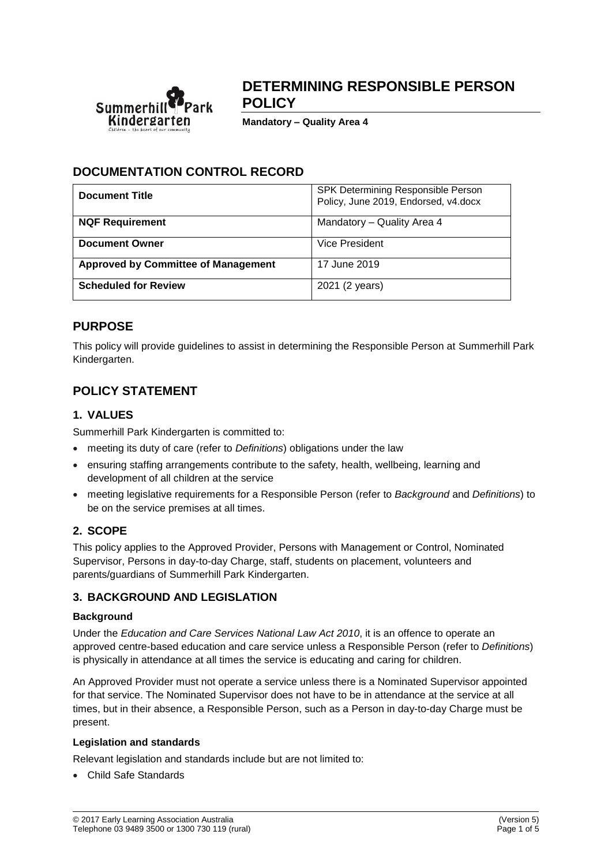

# **DETERMINING RESPONSIBLE PERSON POLICY**

**Mandatory – Quality Area 4**

# **DOCUMENTATION CONTROL RECORD**

| <b>Document Title</b>                      | SPK Determining Responsible Person<br>Policy, June 2019, Endorsed, v4.docx |
|--------------------------------------------|----------------------------------------------------------------------------|
| <b>NQF Requirement</b>                     | Mandatory - Quality Area 4                                                 |
| <b>Document Owner</b>                      | Vice President                                                             |
| <b>Approved by Committee of Management</b> | 17 June 2019                                                               |
| <b>Scheduled for Review</b>                | 2021 (2 years)                                                             |

### **PURPOSE**

This policy will provide guidelines to assist in determining the Responsible Person at Summerhill Park Kindergarten.

# **POLICY STATEMENT**

### **1. VALUES**

Summerhill Park Kindergarten is committed to:

- meeting its duty of care (refer to *Definitions*) obligations under the law
- ensuring staffing arrangements contribute to the safety, health, wellbeing, learning and development of all children at the service
- meeting legislative requirements for a Responsible Person (refer to *Background* and *Definitions*) to be on the service premises at all times.

### **2. SCOPE**

This policy applies to the Approved Provider, Persons with Management or Control, Nominated Supervisor, Persons in day-to-day Charge, staff, students on placement, volunteers and parents/guardians of Summerhill Park Kindergarten.

### **3. BACKGROUND AND LEGISLATION**

### **Background**

Under the *Education and Care Services National Law Act 2010*, it is an offence to operate an approved centre-based education and care service unless a Responsible Person (refer to *Definitions*) is physically in attendance at all times the service is educating and caring for children.

An Approved Provider must not operate a service unless there is a Nominated Supervisor appointed for that service. The Nominated Supervisor does not have to be in attendance at the service at all times, but in their absence, a Responsible Person, such as a Person in day-to-day Charge must be present.

#### **Legislation and standards**

Relevant legislation and standards include but are not limited to:

• Child Safe Standards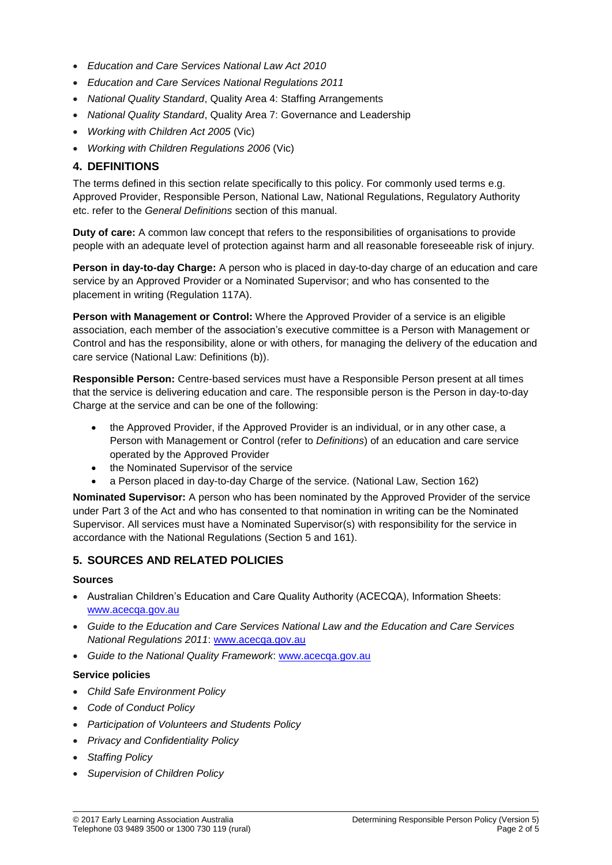- *Education and Care Services National Law Act 2010*
- *Education and Care Services National Regulations 2011*
- *National Quality Standard*, Quality Area 4: Staffing Arrangements
- *National Quality Standard*, Quality Area 7: Governance and Leadership
- *Working with Children Act 2005* (Vic)
- *Working with Children Regulations 2006* (Vic)

### **4. DEFINITIONS**

The terms defined in this section relate specifically to this policy. For commonly used terms e.g. Approved Provider, Responsible Person, National Law, National Regulations, Regulatory Authority etc. refer to the *General Definitions* section of this manual.

**Duty of care:** A common law concept that refers to the responsibilities of organisations to provide people with an adequate level of protection against harm and all reasonable foreseeable risk of injury.

**Person in day-to-day Charge:** A person who is placed in day-to-day charge of an education and care service by an Approved Provider or a Nominated Supervisor; and who has consented to the placement in writing (Regulation 117A).

**Person with Management or Control:** Where the Approved Provider of a service is an eligible association, each member of the association's executive committee is a Person with Management or Control and has the responsibility, alone or with others, for managing the delivery of the education and care service (National Law: Definitions (b)).

**Responsible Person:** Centre-based services must have a Responsible Person present at all times that the service is delivering education and care. The responsible person is the Person in day-to-day Charge at the service and can be one of the following:

- the Approved Provider, if the Approved Provider is an individual, or in any other case, a Person with Management or Control (refer to *Definitions*) of an education and care service operated by the Approved Provider
- the Nominated Supervisor of the service
- a Person placed in day-to-day Charge of the service. (National Law, Section 162)

**Nominated Supervisor:** A person who has been nominated by the Approved Provider of the service under Part 3 of the Act and who has consented to that nomination in writing can be the Nominated Supervisor. All services must have a Nominated Supervisor(s) with responsibility for the service in accordance with the National Regulations (Section 5 and 161).

### **5. SOURCES AND RELATED POLICIES**

#### **Sources**

- Australian Children's Education and Care Quality Authority (ACECQA), Information Sheets: [www.acecqa.gov.au](http://www.acecqa.gov.au/)
- *Guide to the Education and Care Services National Law and the Education and Care Services National Regulations 2011*: [www.acecqa.gov.au](http://www.acecqa.gov.au/)
- *Guide to the National Quality Framework*: [www.acecqa.gov.au](http://www.acecqa.gov.au/)

#### **Service policies**

- *Child Safe Environment Policy*
- *Code of Conduct Policy*
- *Participation of Volunteers and Students Policy*
- *Privacy and Confidentiality Policy*
- *Staffing Policy*
- *Supervision of Children Policy*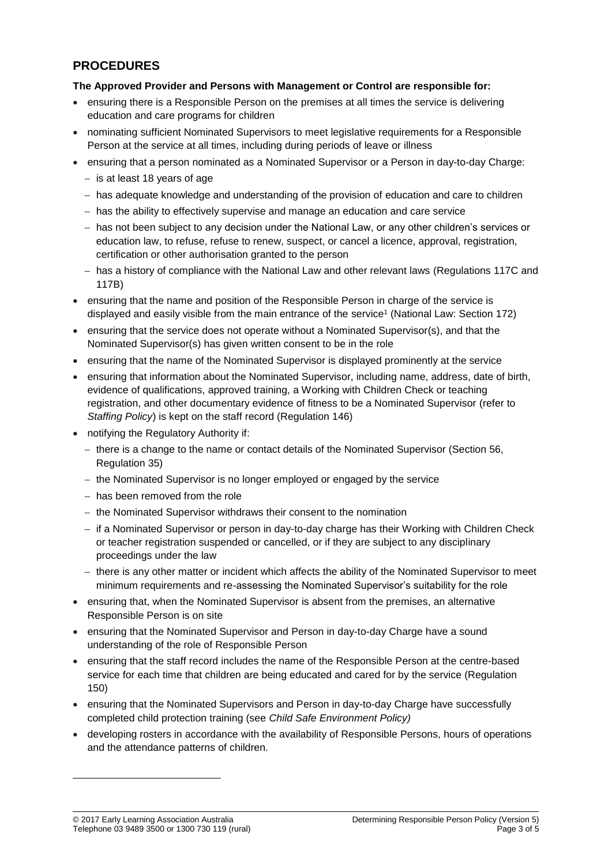## **PROCEDURES**

### **The Approved Provider and Persons with Management or Control are responsible for:**

- ensuring there is a Responsible Person on the premises at all times the service is delivering education and care programs for children
- nominating sufficient Nominated Supervisors to meet legislative requirements for a Responsible Person at the service at all times, including during periods of leave or illness
- ensuring that a person nominated as a Nominated Supervisor or a Person in day-to-day Charge:
	- − is at least 18 years of age
	- − has adequate knowledge and understanding of the provision of education and care to children
	- − has the ability to effectively supervise and manage an education and care service
	- − has not been subject to any decision under the National Law, or any other children's services or education law, to refuse, refuse to renew, suspect, or cancel a licence, approval, registration, certification or other authorisation granted to the person
	- − has a history of compliance with the National Law and other relevant laws (Regulations 117C and 117B)
- ensuring that the name and position of the Responsible Person in charge of the service is displayed and easily visible from the main entrance of the service<sup>1</sup> (National Law: Section 172)
- ensuring that the service does not operate without a Nominated Supervisor(s), and that the Nominated Supervisor(s) has given written consent to be in the role
- ensuring that the name of the Nominated Supervisor is displayed prominently at the service
- ensuring that information about the Nominated Supervisor, including name, address, date of birth, evidence of qualifications, approved training, a Working with Children Check or teaching registration, and other documentary evidence of fitness to be a Nominated Supervisor (refer to *Staffing Policy*) is kept on the staff record (Regulation 146)
- notifying the Regulatory Authority if:
	- − there is a change to the name or contact details of the Nominated Supervisor (Section 56, Regulation 35)
	- − the Nominated Supervisor is no longer employed or engaged by the service
	- − has been removed from the role
	- − the Nominated Supervisor withdraws their consent to the nomination
	- − if a Nominated Supervisor or person in day-to-day charge has their Working with Children Check or teacher registration suspended or cancelled, or if they are subject to any disciplinary proceedings under the law
	- − there is any other matter or incident which affects the ability of the Nominated Supervisor to meet minimum requirements and re-assessing the Nominated Supervisor's suitability for the role
- ensuring that, when the Nominated Supervisor is absent from the premises, an alternative Responsible Person is on site
- ensuring that the Nominated Supervisor and Person in day-to-day Charge have a sound understanding of the role of Responsible Person
- ensuring that the staff record includes the name of the Responsible Person at the centre-based service for each time that children are being educated and cared for by the service (Regulation 150)
- ensuring that the Nominated Supervisors and Person in day-to-day Charge have successfully completed child protection training (see *Child Safe Environment Policy)*
- developing rosters in accordance with the availability of Responsible Persons, hours of operations and the attendance patterns of children.

 $\overline{a}$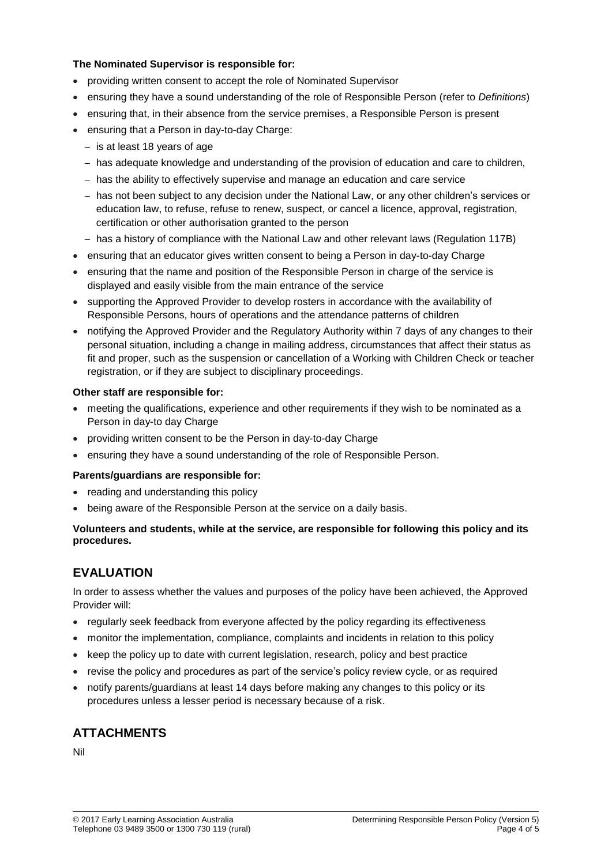### **The Nominated Supervisor is responsible for:**

- providing written consent to accept the role of Nominated Supervisor
- ensuring they have a sound understanding of the role of Responsible Person (refer to *Definitions*)
- ensuring that, in their absence from the service premises, a Responsible Person is present
- ensuring that a Person in day-to-day Charge:
	- − is at least 18 years of age
	- − has adequate knowledge and understanding of the provision of education and care to children,
	- − has the ability to effectively supervise and manage an education and care service
	- − has not been subject to any decision under the National Law, or any other children's services or education law, to refuse, refuse to renew, suspect, or cancel a licence, approval, registration, certification or other authorisation granted to the person
	- − has a history of compliance with the National Law and other relevant laws (Regulation 117B)
- ensuring that an educator gives written consent to being a Person in day-to-day Charge
- ensuring that the name and position of the Responsible Person in charge of the service is displayed and easily visible from the main entrance of the service
- supporting the Approved Provider to develop rosters in accordance with the availability of Responsible Persons, hours of operations and the attendance patterns of children
- notifying the Approved Provider and the Regulatory Authority within 7 days of any changes to their personal situation, including a change in mailing address, circumstances that affect their status as fit and proper, such as the suspension or cancellation of a Working with Children Check or teacher registration, or if they are subject to disciplinary proceedings.

#### **Other staff are responsible for:**

- meeting the qualifications, experience and other requirements if they wish to be nominated as a Person in day-to day Charge
- providing written consent to be the Person in day-to-day Charge
- ensuring they have a sound understanding of the role of Responsible Person.

#### **Parents/guardians are responsible for:**

- reading and understanding this policy
- being aware of the Responsible Person at the service on a daily basis.

#### **Volunteers and students, while at the service, are responsible for following this policy and its procedures.**

# **EVALUATION**

In order to assess whether the values and purposes of the policy have been achieved, the Approved Provider will:

- regularly seek feedback from everyone affected by the policy regarding its effectiveness
- monitor the implementation, compliance, complaints and incidents in relation to this policy
- keep the policy up to date with current legislation, research, policy and best practice
- revise the policy and procedures as part of the service's policy review cycle, or as required
- notify parents/guardians at least 14 days before making any changes to this policy or its procedures unless a lesser period is necessary because of a risk.

### **ATTACHMENTS**

Nil